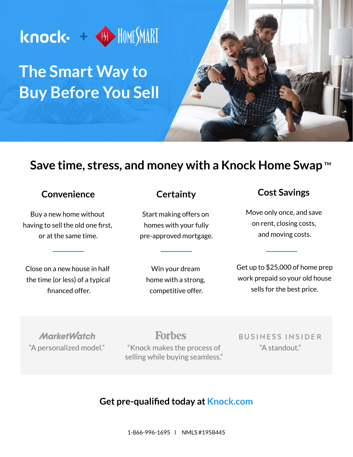

## **The Smart Way to Buy Before You Sell**

## **Save time, stress, and money with a Knock Home Swap** ™

#### **Convenience**

Buy a new home without having to sell the old one first, or at the same time.

Close on a new house in half the time (or less) of a typical financed offer.

#### **Certainty**

Start making offers on homes with your fully pre-approved mortgage.

Win your dream home with a strong, competitive offer.

#### **Cost Savings**

Move only once, and save on rent, closing costs, and moving costs.

Get up to \$25,000 of home prep work prepaid so your old house sells for the best price.

**MarketWatch** 

**Forbes** 

"Knock makes the process of "A personalized model." "A standout." selling while buying seamless."

**BUSINESS INSIDER** 

#### **Get pre-qualified today at Knock.com**